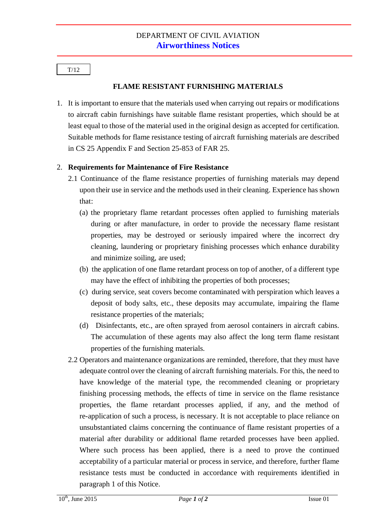T/12

## **FLAME RESISTANT FURNISHING MATERIALS**

1. It is important to ensure that the materials used when carrying out repairs or modifications to aircraft cabin furnishings have suitable flame resistant properties, which should be at least equal to those of the material used in the original design as accepted for certification. Suitable methods for flame resistance testing of aircraft furnishing materials are described in CS 25 Appendix F and Section 25-853 of FAR 25.

## 2. **Requirements for Maintenance of Fire Resistance**

- 2.1 Continuance of the flame resistance properties of furnishing materials may depend upon their use in service and the methods used in their cleaning. Experience has shown that:
	- (a) the proprietary flame retardant processes often applied to furnishing materials during or after manufacture, in order to provide the necessary flame resistant properties, may be destroyed or seriously impaired where the incorrect dry cleaning, laundering or proprietary finishing processes which enhance durability and minimize soiling, are used;
	- (b) the application of one flame retardant process on top of another, of a different type may have the effect of inhibiting the properties of both processes;
	- (c) during service, seat covers become contaminated with perspiration which leaves a deposit of body salts, etc., these deposits may accumulate, impairing the flame resistance properties of the materials;
	- (d) Disinfectants, etc., are often sprayed from aerosol containers in aircraft cabins. The accumulation of these agents may also affect the long term flame resistant properties of the furnishing materials.
- 2.2 Operators and maintenance organizations are reminded, therefore, that they must have adequate control over the cleaning of aircraft furnishing materials. For this, the need to have knowledge of the material type, the recommended cleaning or proprietary finishing processing methods, the effects of time in service on the flame resistance properties, the flame retardant processes applied, if any, and the method of re-application of such a process, is necessary. It is not acceptable to place reliance on unsubstantiated claims concerning the continuance of flame resistant properties of a material after durability or additional flame retarded processes have been applied. Where such process has been applied, there is a need to prove the continued acceptability of a particular material or process in service, and therefore, further flame resistance tests must be conducted in accordance with requirements identified in paragraph 1 of this Notice.